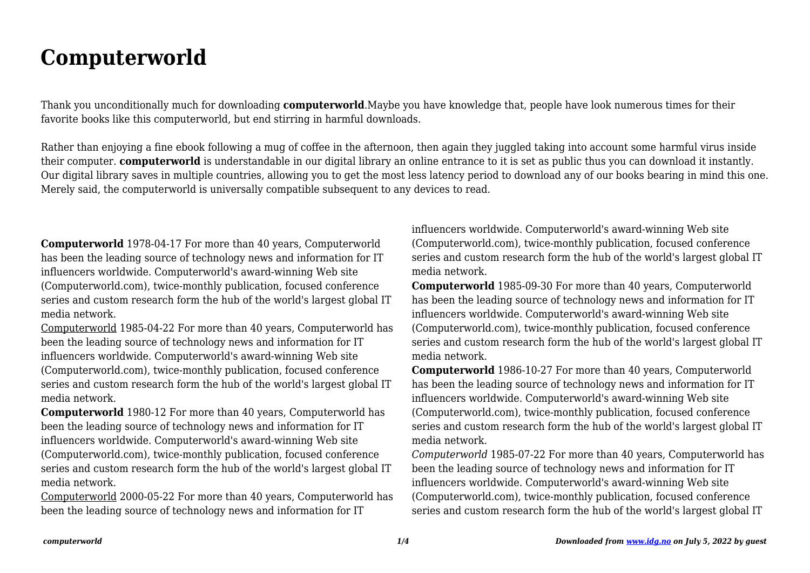## **Computerworld**

Thank you unconditionally much for downloading **computerworld**.Maybe you have knowledge that, people have look numerous times for their favorite books like this computerworld, but end stirring in harmful downloads.

Rather than enjoying a fine ebook following a mug of coffee in the afternoon, then again they juggled taking into account some harmful virus inside their computer. **computerworld** is understandable in our digital library an online entrance to it is set as public thus you can download it instantly. Our digital library saves in multiple countries, allowing you to get the most less latency period to download any of our books bearing in mind this one. Merely said, the computerworld is universally compatible subsequent to any devices to read.

**Computerworld** 1978-04-17 For more than 40 years, Computerworld has been the leading source of technology news and information for IT influencers worldwide. Computerworld's award-winning Web site (Computerworld.com), twice-monthly publication, focused conference series and custom research form the hub of the world's largest global IT media network.

Computerworld 1985-04-22 For more than 40 years, Computerworld has been the leading source of technology news and information for IT influencers worldwide. Computerworld's award-winning Web site (Computerworld.com), twice-monthly publication, focused conference series and custom research form the hub of the world's largest global IT media network.

**Computerworld** 1980-12 For more than 40 years, Computerworld has been the leading source of technology news and information for IT influencers worldwide. Computerworld's award-winning Web site (Computerworld.com), twice-monthly publication, focused conference series and custom research form the hub of the world's largest global IT media network.

Computerworld 2000-05-22 For more than 40 years, Computerworld has been the leading source of technology news and information for IT

influencers worldwide. Computerworld's award-winning Web site (Computerworld.com), twice-monthly publication, focused conference series and custom research form the hub of the world's largest global IT media network.

**Computerworld** 1985-09-30 For more than 40 years, Computerworld has been the leading source of technology news and information for IT influencers worldwide. Computerworld's award-winning Web site (Computerworld.com), twice-monthly publication, focused conference series and custom research form the hub of the world's largest global IT media network.

**Computerworld** 1986-10-27 For more than 40 years, Computerworld has been the leading source of technology news and information for IT influencers worldwide. Computerworld's award-winning Web site (Computerworld.com), twice-monthly publication, focused conference series and custom research form the hub of the world's largest global IT media network.

*Computerworld* 1985-07-22 For more than 40 years, Computerworld has been the leading source of technology news and information for IT influencers worldwide. Computerworld's award-winning Web site (Computerworld.com), twice-monthly publication, focused conference series and custom research form the hub of the world's largest global IT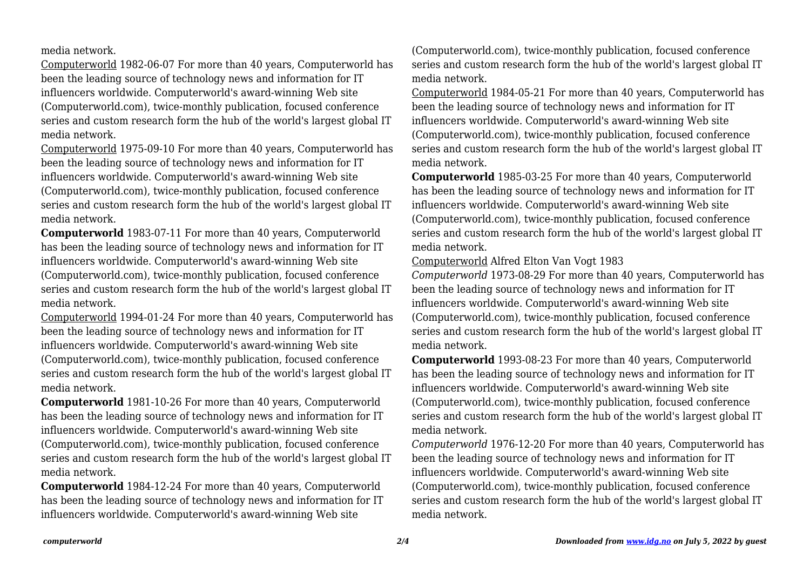media network.

Computerworld 1982-06-07 For more than 40 years, Computerworld has been the leading source of technology news and information for IT influencers worldwide. Computerworld's award-winning Web site (Computerworld.com), twice-monthly publication, focused conference series and custom research form the hub of the world's largest global IT media network.

Computerworld 1975-09-10 For more than 40 years, Computerworld has been the leading source of technology news and information for IT influencers worldwide. Computerworld's award-winning Web site (Computerworld.com), twice-monthly publication, focused conference series and custom research form the hub of the world's largest global IT media network.

**Computerworld** 1983-07-11 For more than 40 years, Computerworld has been the leading source of technology news and information for IT influencers worldwide. Computerworld's award-winning Web site (Computerworld.com), twice-monthly publication, focused conference series and custom research form the hub of the world's largest global IT media network.

Computerworld 1994-01-24 For more than 40 years, Computerworld has been the leading source of technology news and information for IT influencers worldwide. Computerworld's award-winning Web site (Computerworld.com), twice-monthly publication, focused conference series and custom research form the hub of the world's largest global IT media network.

**Computerworld** 1981-10-26 For more than 40 years, Computerworld has been the leading source of technology news and information for IT influencers worldwide. Computerworld's award-winning Web site (Computerworld.com), twice-monthly publication, focused conference series and custom research form the hub of the world's largest global IT media network.

**Computerworld** 1984-12-24 For more than 40 years, Computerworld has been the leading source of technology news and information for IT influencers worldwide. Computerworld's award-winning Web site

(Computerworld.com), twice-monthly publication, focused conference series and custom research form the hub of the world's largest global IT media network.

Computerworld 1984-05-21 For more than 40 years, Computerworld has been the leading source of technology news and information for IT influencers worldwide. Computerworld's award-winning Web site (Computerworld.com), twice-monthly publication, focused conference series and custom research form the hub of the world's largest global IT media network.

**Computerworld** 1985-03-25 For more than 40 years, Computerworld has been the leading source of technology news and information for IT influencers worldwide. Computerworld's award-winning Web site (Computerworld.com), twice-monthly publication, focused conference series and custom research form the hub of the world's largest global IT media network.

## Computerworld Alfred Elton Van Vogt 1983

*Computerworld* 1973-08-29 For more than 40 years, Computerworld has been the leading source of technology news and information for IT influencers worldwide. Computerworld's award-winning Web site (Computerworld.com), twice-monthly publication, focused conference series and custom research form the hub of the world's largest global IT media network.

**Computerworld** 1993-08-23 For more than 40 years, Computerworld has been the leading source of technology news and information for IT influencers worldwide. Computerworld's award-winning Web site (Computerworld.com), twice-monthly publication, focused conference series and custom research form the hub of the world's largest global IT media network.

*Computerworld* 1976-12-20 For more than 40 years, Computerworld has been the leading source of technology news and information for IT influencers worldwide. Computerworld's award-winning Web site (Computerworld.com), twice-monthly publication, focused conference series and custom research form the hub of the world's largest global IT media network.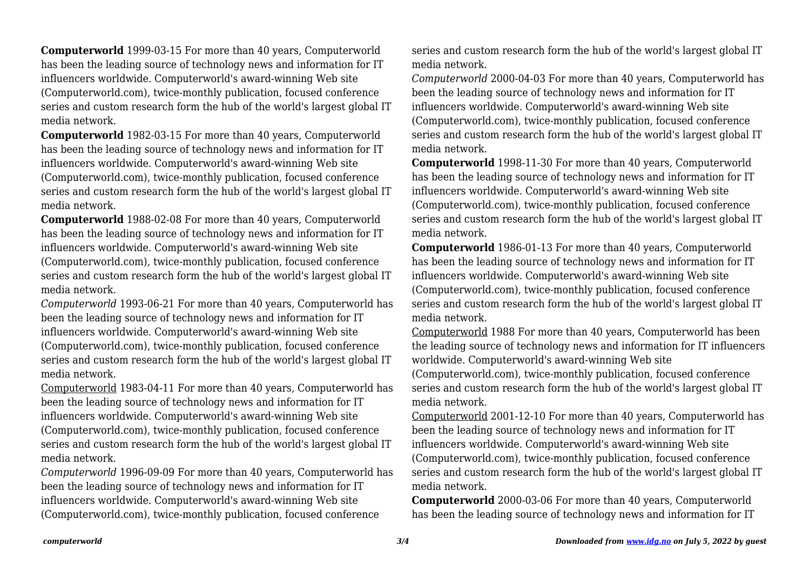**Computerworld** 1999-03-15 For more than 40 years, Computerworld has been the leading source of technology news and information for IT influencers worldwide. Computerworld's award-winning Web site (Computerworld.com), twice-monthly publication, focused conference series and custom research form the hub of the world's largest global IT media network.

**Computerworld** 1982-03-15 For more than 40 years, Computerworld has been the leading source of technology news and information for IT influencers worldwide. Computerworld's award-winning Web site (Computerworld.com), twice-monthly publication, focused conference series and custom research form the hub of the world's largest global IT media network.

**Computerworld** 1988-02-08 For more than 40 years, Computerworld has been the leading source of technology news and information for IT influencers worldwide. Computerworld's award-winning Web site (Computerworld.com), twice-monthly publication, focused conference series and custom research form the hub of the world's largest global IT media network.

*Computerworld* 1993-06-21 For more than 40 years, Computerworld has been the leading source of technology news and information for IT influencers worldwide. Computerworld's award-winning Web site (Computerworld.com), twice-monthly publication, focused conference series and custom research form the hub of the world's largest global IT media network.

Computerworld 1983-04-11 For more than 40 years, Computerworld has been the leading source of technology news and information for IT influencers worldwide. Computerworld's award-winning Web site (Computerworld.com), twice-monthly publication, focused conference series and custom research form the hub of the world's largest global IT media network.

*Computerworld* 1996-09-09 For more than 40 years, Computerworld has been the leading source of technology news and information for IT influencers worldwide. Computerworld's award-winning Web site (Computerworld.com), twice-monthly publication, focused conference

series and custom research form the hub of the world's largest global IT media network.

*Computerworld* 2000-04-03 For more than 40 years, Computerworld has been the leading source of technology news and information for IT influencers worldwide. Computerworld's award-winning Web site (Computerworld.com), twice-monthly publication, focused conference series and custom research form the hub of the world's largest global IT media network.

**Computerworld** 1998-11-30 For more than 40 years, Computerworld has been the leading source of technology news and information for IT influencers worldwide. Computerworld's award-winning Web site (Computerworld.com), twice-monthly publication, focused conference series and custom research form the hub of the world's largest global IT media network.

**Computerworld** 1986-01-13 For more than 40 years, Computerworld has been the leading source of technology news and information for IT influencers worldwide. Computerworld's award-winning Web site (Computerworld.com), twice-monthly publication, focused conference series and custom research form the hub of the world's largest global IT media network.

Computerworld 1988 For more than 40 years, Computerworld has been the leading source of technology news and information for IT influencers worldwide. Computerworld's award-winning Web site (Computerworld.com), twice-monthly publication, focused conference series and custom research form the hub of the world's largest global IT media network.

Computerworld 2001-12-10 For more than 40 years, Computerworld has been the leading source of technology news and information for IT influencers worldwide. Computerworld's award-winning Web site (Computerworld.com), twice-monthly publication, focused conference series and custom research form the hub of the world's largest global IT media network.

**Computerworld** 2000-03-06 For more than 40 years, Computerworld has been the leading source of technology news and information for IT